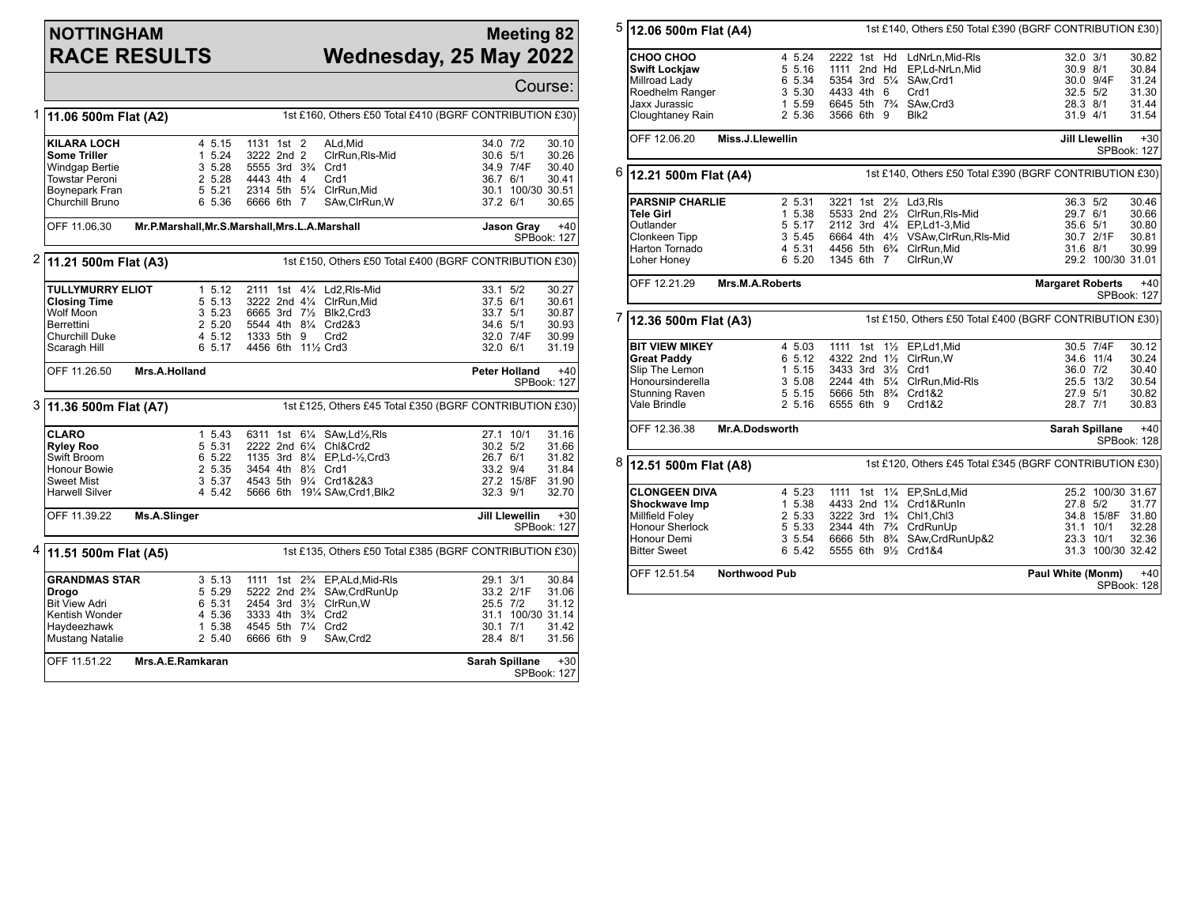## **NOTTINGHAM RACE RESULTS**

## **Meeting 82 Wednesday, 25 May 2022**

|   |                                                                                                                                  |                                                                               |                                                                                                                                                                                                                                                  |                                                                                                             | Course:                                            |  |  |  |
|---|----------------------------------------------------------------------------------------------------------------------------------|-------------------------------------------------------------------------------|--------------------------------------------------------------------------------------------------------------------------------------------------------------------------------------------------------------------------------------------------|-------------------------------------------------------------------------------------------------------------|----------------------------------------------------|--|--|--|
| 1 | 11.06 500m Flat (A2)                                                                                                             |                                                                               | 1st £160, Others £50 Total £410 (BGRF CONTRIBUTION £30)                                                                                                                                                                                          |                                                                                                             |                                                    |  |  |  |
|   | <b>KILARA LOCH</b><br><b>Some Triller</b><br>Windgap Bertie<br>Towstar Peroni<br>Boynepark Fran<br>Churchill Bruno               | 4 5.15<br>1 5.24<br>3, 5.28<br>2 5.28<br>5 5.21<br>6 5.36                     | 1131 1st 2<br>ALd, Mid<br>3222 2nd 2<br>ClrRun, RIs-Mid<br>5555 3rd 3 <sup>3</sup> / <sub>4</sub> Crd1<br>Crd1<br>4443 4th 4<br>2314 5th 51/4 ClrRun.Mid<br>SAw, ClrRun, W<br>6666 6th 7                                                         | 34.0 7/2<br>30.6 5/1<br>34.9 7/4F<br>36.7 6/1<br>30.1 100/30 30.51<br>37.2 6/1                              | 30.10<br>30.26<br>30.40<br>30.41<br>30.65          |  |  |  |
|   | OFF 11.06.30                                                                                                                     |                                                                               | Mr.P.Marshall, Mr.S.Marshall, Mrs.L.A.Marshall                                                                                                                                                                                                   | <b>Jason Gray</b>                                                                                           | $+40$<br><b>SPBook: 127</b>                        |  |  |  |
| 2 | 1st £150, Others £50 Total £400 (BGRF CONTRIBUTION £30)<br>11.21 500m Flat (A3)                                                  |                                                                               |                                                                                                                                                                                                                                                  |                                                                                                             |                                                    |  |  |  |
|   | <b>TULLYMURRY ELIOT</b><br>Closing Time<br>Wolf Moon<br>Berrettini<br>Churchill Duke<br>Scaragh Hill                             | 1, 5.12<br>5 5.13<br>$3\,5.23$<br>2 5.20<br>4 5.12<br>6 5.17                  | 2111 1st 41/4 Ld2.RIs-Mid<br>3222 2nd 41/4 ClrRun.Mid<br>6665 3rd 71/2 Blk2, Crd3<br>5544 4th 81/4 Crd2&3<br>1333 5th 9<br>Crd <sub>2</sub><br>4456 6th 11% Crd3                                                                                 | 33.1 5/2<br>37.5 6/1<br>33.7 5/1<br>34.6 5/1<br>32.0 7/4F<br>$32.0$ 6/1                                     | 30.27<br>30.61<br>30.87<br>30.93<br>30.99<br>31.19 |  |  |  |
|   | OFF 11.26.50                                                                                                                     | Mrs.A.Holland                                                                 |                                                                                                                                                                                                                                                  | <b>Peter Holland</b>                                                                                        | $+40$<br>SPBook: 127                               |  |  |  |
|   | 3  11.36 500m Flat (A7)<br>1st £125, Others £45 Total £350 (BGRF CONTRIBUTION £30)                                               |                                                                               |                                                                                                                                                                                                                                                  |                                                                                                             |                                                    |  |  |  |
|   | <b>CLARO</b><br><b>Ryley Roo</b><br>Swift Broom<br>Honour Bowie<br><b>Sweet Mist</b><br><b>Harwell Silver</b>                    | 1 5.43<br>5 5.31<br>6 5.22<br>2 5.35<br>3 5.37<br>4 5.42                      | 6311 1st 61/4 SAw, Ld1/2, RIs<br>2222 2nd 61/4 Chl&Crd2<br>1135 3rd 81/4 EP, Ld-1/2, Crd3<br>3454 4th 81/2 Crd1<br>4543 5th 91/4 Crd1&2&3<br>5666 6th 191/4 SAw, Crd1, Blk2                                                                      | 27.1 10/1<br>$30.2$ $5/2$<br>26.7 6/1<br>33.2 9/4<br>27.2 15/8F<br>32.3 9/1                                 | 31.16<br>31.66<br>31.82<br>31.84<br>31.90<br>32.70 |  |  |  |
|   | OFF 11.39.22                                                                                                                     | Ms.A.Slinger<br><b>Jill Llewellin</b><br>$+30$<br>SPBook: 127                 |                                                                                                                                                                                                                                                  |                                                                                                             |                                                    |  |  |  |
| 4 | 11.51 500m Flat (A5)                                                                                                             |                                                                               | 1st £135, Others £50 Total £385 (BGRF CONTRIBUTION £30)                                                                                                                                                                                          |                                                                                                             |                                                    |  |  |  |
|   | <b>GRANDMAS STAR</b><br>Drogo<br><b>Bit View Adri</b><br>Kentish Wonder<br>Haydeezhawk<br><b>Mustang Natalie</b><br>OFF 11.51.22 | 3, 5.13<br>5 5.29<br>6 5.31<br>4 5.36<br>1 5.38<br>2 5.40<br>Mrs.A.E.Ramkaran | 1st 2 <sup>3</sup> / <sub>4</sub> EP, ALd, Mid-RIs<br>1111<br>5222 2nd 2 <sup>3</sup> / <sub>4</sub><br>SAw, CrdRunUp<br>2454 3rd 31/2 ClrRun, W<br>3333 4th 3 <sup>3</sup> / <sub>4</sub> Crd2<br>4545 5th 71/4 Crd2<br>6666 6th 9<br>SAw, Crd2 | 29.1 3/1<br>33.2 2/1F<br>25.5 7/2<br>31.1 100/30 31.14<br>$30.1$ $7/1$<br>28.4 8/1<br><b>Sarah Spillane</b> | 30.84<br>31.06<br>31.12<br>31.42<br>31.56<br>$+30$ |  |  |  |
|   |                                                                                                                                  |                                                                               |                                                                                                                                                                                                                                                  |                                                                                                             | SPBook: 127                                        |  |  |  |

| 5                                                                                    |                                                                          |                  |                                        |  |  | 1st £140, Others £50 Total £390 (BGRF CONTRIBUTION £30) |                         |                       |                      |
|--------------------------------------------------------------------------------------|--------------------------------------------------------------------------|------------------|----------------------------------------|--|--|---------------------------------------------------------|-------------------------|-----------------------|----------------------|
|                                                                                      | 12.06 500m Flat (A4)                                                     |                  |                                        |  |  |                                                         |                         |                       |                      |
|                                                                                      | СНОО СНОО                                                                | 4 5.24           |                                        |  |  | 2222 1st Hd LdNrLn, Mid-RIs                             | 32.0 3/1                |                       | 30.82                |
|                                                                                      | <b>Swift Lockjaw</b>                                                     | 5 5.16           | 1111 2nd Hd                            |  |  | EP,Ld-NrLn,Mid                                          | 30.9 8/1                |                       | 30.84                |
|                                                                                      | Millroad Lady                                                            | 6 5.34           | 5354 3rd 51/4                          |  |  | SAw, Crd1                                               |                         | 30.0 9/4F             | 31.24                |
|                                                                                      | Roedhelm Ranger                                                          | 3 5.30           | 4433 4th 6                             |  |  | Crd1                                                    | 32.5 5/2                |                       | 31.30                |
|                                                                                      | <b>Jaxx Jurassic</b>                                                     | 1 5.59           |                                        |  |  | 6645 5th 73/4 SAw, Crd3                                 | 28.3 8/1                |                       | 31.44                |
|                                                                                      | Cloughtaney Rain                                                         | 2 5.36           | 3566 6th 9                             |  |  | Blk2                                                    | 31.9 4/1                |                       | 31.54                |
|                                                                                      |                                                                          |                  |                                        |  |  |                                                         |                         |                       |                      |
|                                                                                      | OFF 12.06.20                                                             | Miss.J.Llewellin |                                        |  |  |                                                         |                         | <b>Jill Llewellin</b> | $+30$<br>SPBook: 127 |
|                                                                                      |                                                                          |                  |                                        |  |  |                                                         |                         |                       |                      |
| 6                                                                                    | 12.21 500m Flat (A4)                                                     |                  |                                        |  |  | 1st £140, Others £50 Total £390 (BGRF CONTRIBUTION £30) |                         |                       |                      |
|                                                                                      | <b>PARSNIP CHARLIE</b>                                                   | 2 5.31           |                                        |  |  | 3221 1st 21/2 Ld3.Rls                                   | 36.3 5/2                |                       | 30.46                |
|                                                                                      | Tele Girl                                                                | 1 5.38           |                                        |  |  | 5533 2nd 21/2 ClrRun, RIs-Mid                           | 29.7 6/1                |                       | 30.66                |
|                                                                                      | Outlander                                                                |                  | 5 5.17                                 |  |  | 2112 3rd 41/4 EP,Ld1-3,Mid                              | 35.6 5/1                |                       | 30.80                |
|                                                                                      | Clonkeen Tipp                                                            | 3 5.45           |                                        |  |  | 6664 4th 41/2 VSAw, ClrRun, RIs-Mid                     |                         | 30.7 2/1F             | 30.81                |
|                                                                                      | Harton Tornado                                                           | 4 5.31           |                                        |  |  | 4456 5th 63/4 ClrRun, Mid                               | 31.6 8/1                |                       | 30.99                |
|                                                                                      | Loher Honey                                                              | 6 5.20           | 1345 6th 7                             |  |  | ClrRun, W                                               |                         | 29.2 100/30 31.01     |                      |
|                                                                                      | OFF 12.21.29                                                             | Mrs.M.A.Roberts  |                                        |  |  |                                                         | <b>Margaret Roberts</b> |                       | $+40$<br>SPBook: 127 |
| 7                                                                                    | 12.36 500m Flat (A3)                                                     |                  |                                        |  |  | 1st £150, Others £50 Total £400 (BGRF CONTRIBUTION £30) |                         |                       |                      |
|                                                                                      | <b>BIT VIEW MIKEY</b>                                                    | 4 5.03           |                                        |  |  | 1111 1st 11/2 EP,Ld1,Mid                                |                         | 30.5 7/4F             | 30.12                |
|                                                                                      | <b>Great Paddy</b>                                                       | 6 5.12           |                                        |  |  | 4322 2nd 11/2 ClrRun.W                                  | 34.6 11/4               |                       | 30.24                |
|                                                                                      | Slip The Lemon                                                           | 1 5.15           | 3433 3rd 31/2 Crd1                     |  |  |                                                         | 36.0 7/2                |                       | 30.40                |
|                                                                                      | Honoursinderella                                                         | 3 5.08           |                                        |  |  | 2244 4th 51/4 ClrRun, Mid-RIs                           |                         | 25.5 13/2             | 30.54                |
|                                                                                      | Stunning Raven                                                           | 5 5.15           |                                        |  |  | 5666 5th 8% Crd1&2                                      | 27.9 5/1                |                       | 30.82                |
|                                                                                      | Vale Brindle                                                             | 25.16            | 6555 6th 9                             |  |  | Crd1&2                                                  | 28.7 7/1                |                       | 30.83                |
|                                                                                      | OFF 12.36.38                                                             | Mr.A.Dodsworth   |                                        |  |  |                                                         | Sarah Spillane          |                       | $+40$<br>SPBook: 128 |
| 8<br>1st £120, Others £45 Total £345 (BGRF CONTRIBUTION £30)<br>12.51 500m Flat (A8) |                                                                          |                  |                                        |  |  |                                                         |                         |                       |                      |
|                                                                                      | <b>CLONGEEN DIVA</b>                                                     | 4 5.23           |                                        |  |  | 1111 1st 11/4 EP, SnLd, Mid                             |                         | 25.2 100/30 31.67     |                      |
|                                                                                      | Shockwave Imp                                                            | 1 5.38           |                                        |  |  | 4433 2nd 11/4 Crd1&RunIn                                | 27.8 5/2                |                       | 31.77                |
|                                                                                      | Millfield Foley                                                          | 2 5.33           |                                        |  |  | 3222 3rd 1 <sup>3</sup> / <sub>4</sub> Chl1, Chl3       |                         | 34.8 15/8F            | 31.80                |
|                                                                                      | Honour Sherlock                                                          | 5 5.33           |                                        |  |  | 2344 4th 7 <sup>3</sup> / <sub>4</sub> CrdRunUp         |                         | 31.1 10/1             | 32.28                |
|                                                                                      | Honour Demi                                                              | 3 5.54           | 6666 5th 8 <sup>3</sup> / <sub>4</sub> |  |  | SAw,CrdRunUp&2                                          | 23.3 10/1               |                       | 32.36                |
|                                                                                      | <b>Bitter Sweet</b>                                                      | 6 5.42           |                                        |  |  | 5555 6th 91/2 Crd1&4                                    |                         | 31.3 100/30 32.42     |                      |
|                                                                                      | OFF 12.51.54<br><b>Northwood Pub</b><br>Paul White (Monm)<br>SPBook: 128 |                  |                                        |  |  |                                                         |                         | $+40$                 |                      |